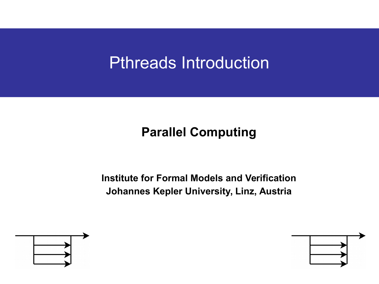# Pthreads Introduction

### **Parallel Computing**

**Institute for Formal Models and Verification Johannes Kepler University, Linz, Austria**



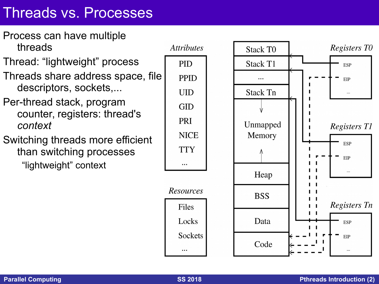### Threads vs. Processes

#### Process can have multiple threads

- Thread: "lightweight" process
- Threads share address space, file descriptors, sockets,...
- Per-thread stack, program counter, registers: thread's *context*
- Switching threads more efficient than switching processes "lightweight" context

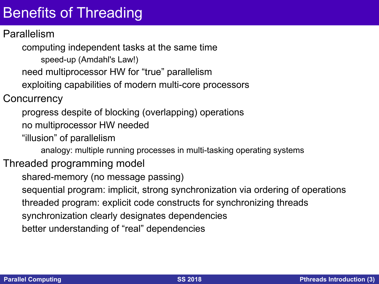## Benefits of Threading

### Parallelism

computing independent tasks at the same time speed-up (Amdahl's Law!) need multiprocessor HW for "true" parallelism exploiting capabilities of modern multi-core processors

**Concurrency** 

progress despite of blocking (overlapping) operations

no multiprocessor HW needed

"illusion" of parallelism

analogy: multiple running processes in multi-tasking operating systems

#### Threaded programming model

shared-memory (no message passing)

sequential program: implicit, strong synchronization via ordering of operations threaded program: explicit code constructs for synchronizing threads synchronization clearly designates dependencies better understanding of "real" dependencies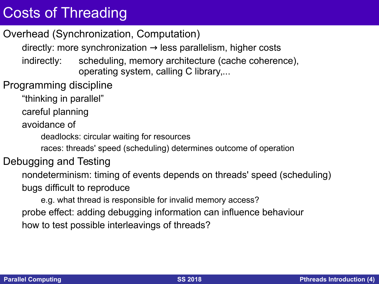## Costs of Threading

### Overhead (Synchronization, Computation)

directly: more synchronization  $\rightarrow$  less parallelism, higher costs

indirectly: scheduling, memory architecture (cache coherence), operating system, calling C library,...

Programming discipline

"thinking in parallel"

careful planning

avoidance of

deadlocks: circular waiting for resources

races: threads' speed (scheduling) determines outcome of operation

### Debugging and Testing

nondeterminism: timing of events depends on threads' speed (scheduling) bugs difficult to reproduce

e.g. what thread is responsible for invalid memory access? probe effect: adding debugging information can influence behaviour how to test possible interleavings of threads?